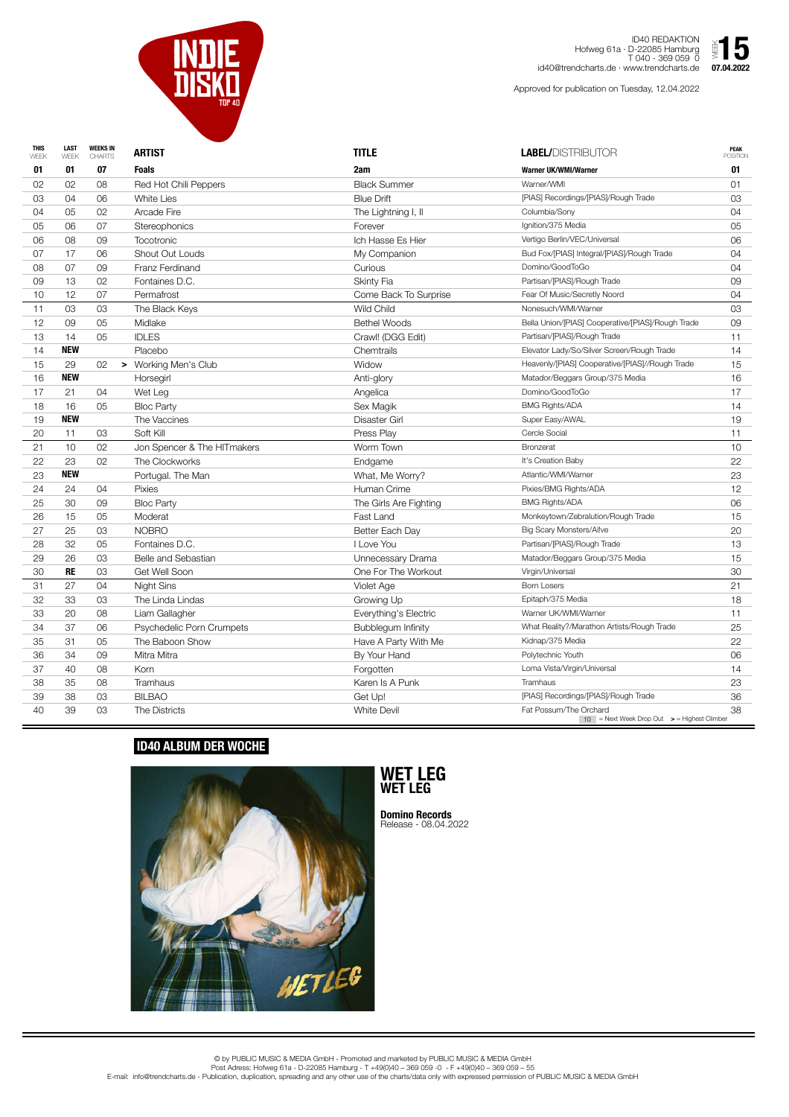| <b>THIS</b><br>WEEK | <b>LAST</b><br>WEEK | <b>WEEKS IN</b><br><b>CHARTS</b> | <b>ARTIST</b>               | <b>TITLE</b>           | <b>LABEL/DISTRIBUTOR</b>                                                            | <b>PEAK</b><br><b>POSITION</b> |
|---------------------|---------------------|----------------------------------|-----------------------------|------------------------|-------------------------------------------------------------------------------------|--------------------------------|
| 01                  | 01                  | 07                               | <b>Foals</b>                | 2am                    | <b>Warner UK/WMI/Warner</b>                                                         | 01                             |
| 02                  | 02                  | 08                               | Red Hot Chili Peppers       | <b>Black Summer</b>    | Warner/WMI                                                                          | 01                             |
| 03                  | 04                  | 06                               | <b>White Lies</b>           | <b>Blue Drift</b>      | [PIAS] Recordings/[PIAS]/Rough Trade                                                | 03                             |
| 04                  | 05                  | 02                               | Arcade Fire                 | The Lightning I, II    | Columbia/Sony                                                                       | 04                             |
| 05                  | 06                  | 07                               | <b>Stereophonics</b>        | Forever                | Ignition/375 Media                                                                  | 05                             |
| 06                  | 08                  | 09                               | <b>Tocotronic</b>           | Ich Hasse Es Hier      | Vertigo Berlin/VEC/Universal                                                        | 06                             |
| 07                  | 17                  | 06                               | <b>Shout Out Louds</b>      | My Companion           | Bud Fox/[PIAS] Integral/[PIAS]/Rough Trade                                          | 04                             |
| 08                  | 07                  | 09                               | Franz Ferdinand             | Curious                | Domino/GoodToGo                                                                     | 04                             |
| 09                  | 13                  | 02                               | Fontaines D.C.              | <b>Skinty Fia</b>      | Partisan/[PIAS]/Rough Trade                                                         | 09                             |
| 10                  | 12                  | 07                               | Permafrost                  | Come Back To Surprise  | Fear Of Music/Secretly Noord                                                        | 04                             |
| 11                  | 03                  | 03                               | The Black Keys              | Wild Child             | Nonesuch/WMI/Warner                                                                 | 03                             |
| 12                  | 09                  | 05                               | Midlake                     | <b>Bethel Woods</b>    | Bella Union/[PIAS] Cooperative/[PIAS]/Rough Trade                                   | 09                             |
| 13                  | 14                  | 05                               | <b>IDLES</b>                | Crawl! (DGG Edit)      | Partisan/[PIAS]/Rough Trade                                                         | $11$                           |
| 14                  | <b>NEW</b>          |                                  | Placebo                     | Chemtrails             | Elevator Lady/So/Silver Screen/Rough Trade                                          | 14                             |
| 15                  | 29                  | 02                               | > Working Men's Club        | Widow                  | Heavenly/[PIAS] Cooperative/[PIAS]//Rough Trade                                     | 15                             |
| 16                  | <b>NEW</b>          |                                  | Horsegirl                   | Anti-glory             | Matador/Beggars Group/375 Media                                                     | 16                             |
| 17                  | 21                  | 04                               | Wet Leg                     | Angelica               | Domino/GoodToGo                                                                     | 17                             |
| 18                  | 16                  | 05                               | <b>Bloc Party</b>           | Sex Magik              | <b>BMG Rights/ADA</b>                                                               | 14                             |
| 19                  | <b>NEW</b>          |                                  | The Vaccines                | <b>Disaster Girl</b>   | Super Easy/AWAL                                                                     | 19                             |
| 20                  | 11                  | 03                               | Soft Kill                   | Press Play             | Cercle Social                                                                       | 11                             |
| 21                  | 10                  | 02                               | Jon Spencer & The HITmakers | Worm Town              | <b>Bronzerat</b>                                                                    | 10                             |
| 22                  | 23                  | 02                               | The Clockworks              | Endgame                | It's Creation Baby                                                                  | 22                             |
| 23                  | <b>NEW</b>          |                                  | Portugal. The Man           | What, Me Worry?        | Atlantic/WMI/Warner                                                                 | 23                             |
| 24                  | 24                  | 04                               | <b>Pixies</b>               | Human Crime            | Pixies/BMG Rights/ADA                                                               | 12                             |
| 25                  | 30                  | 09                               | <b>Bloc Party</b>           | The Girls Are Fighting | <b>BMG Rights/ADA</b>                                                               | 06                             |
| 26                  | 15                  | 05                               | Moderat                     | Fast Land              | Monkeytown/Zebralution/Rough Trade                                                  | 15                             |
| 27                  | 25                  | 03                               | <b>NOBRO</b>                | Better Each Day        | <b>Big Scary Monsters/Allve</b>                                                     | 20                             |
| 28                  | 32                  | 05                               | Fontaines D.C.              | I Love You             | Partisan/[PIAS]/Rough Trade                                                         | 13                             |
| 29                  | 26                  | 03                               | <b>Belle and Sebastian</b>  | Unnecessary Drama      | Matador/Beggars Group/375 Media                                                     | 15                             |
| 30                  | <b>RE</b>           | 03                               | Get Well Soon               | One For The Workout    | Virgin/Universal                                                                    | 30                             |
| 31                  | 27                  | 04                               | Night Sins                  | Violet Age             | <b>Born Losers</b>                                                                  | 21                             |
| 32                  | 33                  | 03                               | The Linda Lindas            | Growing Up             | Epitaph/375 Media                                                                   | 18                             |
| 33                  | 20                  | 08                               | Liam Gallagher              | Everything's Electric  | Warner UK/WMI/Warner                                                                | 11                             |
| 34                  | 37                  | 06                               | Psychedelic Porn Crumpets   | Bubblegum Infinity     | What Reality?/Marathon Artists/Rough Trade                                          | 25                             |
| 35                  | 31                  | 05                               | The Baboon Show             | Have A Party With Me   | Kidnap/375 Media                                                                    | 22                             |
| 36                  | 34                  | 09                               | Mitra Mitra                 | By Your Hand           | Polytechnic Youth                                                                   | 06                             |
| 37                  | 40                  | 08                               | Korn                        | Forgotten              | Loma Vista/Virgin/Universal                                                         | 14                             |
| 38                  | 35                  | 08                               | <b>Tramhaus</b>             | Karen Is A Punk        | Tramhaus                                                                            | 23                             |
| 39                  | 38                  | 03                               | <b>BILBAO</b>               | Get Up!                | [PIAS] Recordings/[PIAS]/Rough Trade                                                | 36                             |
| 40                  | 39                  | 03                               | The Districts               | <b>White Devil</b>     | Fat Possum/The Orchard<br>$10$ = Next Week Drop Out $\rightarrow$ = Highest Climber | 38                             |



ID40 REDAKTION Hofweg 61a · D-22085 Hamburg T 040 - 369 059 0 id40@trendcharts.de · www.trendcharts.de

Approved for publication on Tuesday, 12.04.2022



© by PUBLIC MUSIC & MEDIA GmbH - Promoted and marketed by PUBLIC MUSIC & MEDIA GmbH Post Adress: Hofweg 61a - D-22085 Hamburg - T +49(0)40 – 369 059 -0 - F +49(0)40 – 369 059 – 55 E-mail: info@trendcharts.de - Publication, duplication, spreading and any other use of the charts/data only with expressed permission of PUBLIC MUSIC & MEDIA GmbH

## **ID40 ALBUM DER WOCHE**





**Domino Records** Release - 08.04.2022